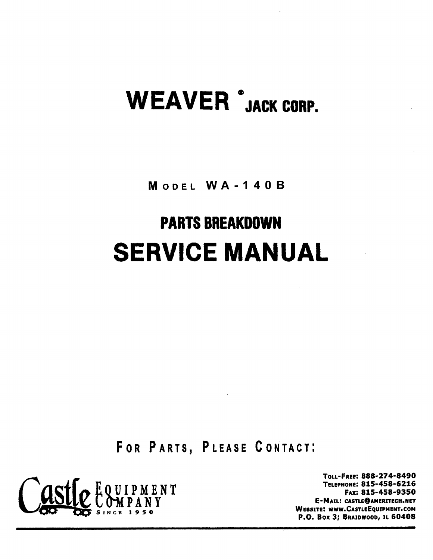# **WEAVER** JACK CORP.

MODEL WA-140B

## **PARTS BREAKDOWN SERVICE MAN UAL**

FOR PARTS, PLEASE CONTACT:



TOLL-FREE: 888-274-8490 TELePHONE: 815-458-6216 FAX: 815-458-9350 E-MAIL: CASTLE@AMERITECH.NET WEBSITE: WWW.CASTLEEQUIPMENT.COM P.O. Box 3; BRAIDWOOD, IL 60408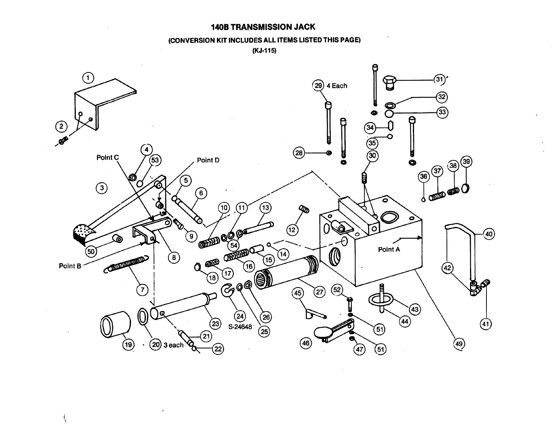#### **140B TRANSMISSION JACK**

#### (CONVERSION **SMISSION JACK** KIT INCLUDES ALL ITEMS LIST (KJ.115) ED THIS PAGE)



 $\mathcal{L}$ 

ţ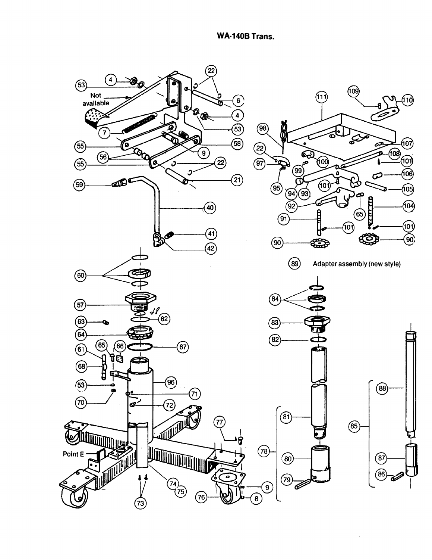